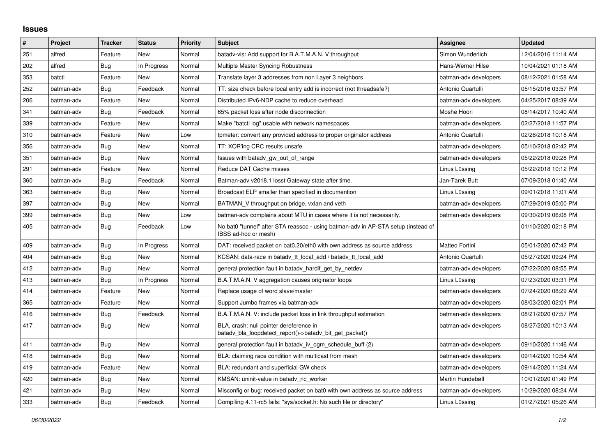## **Issues**

| $\vert$ # | Project    | <b>Tracker</b> | <b>Status</b> | Priority | <b>Subject</b>                                                                                            | Assignee              | <b>Updated</b>      |
|-----------|------------|----------------|---------------|----------|-----------------------------------------------------------------------------------------------------------|-----------------------|---------------------|
| 251       | alfred     | Feature        | New           | Normal   | batady-vis: Add support for B.A.T.M.A.N. V throughput                                                     | Simon Wunderlich      | 12/04/2016 11:14 AM |
| 202       | alfred     | <b>Bug</b>     | In Progress   | Normal   | Multiple Master Syncing Robustness                                                                        | Hans-Werner Hilse     | 10/04/2021 01:18 AM |
| 353       | batctl     | Feature        | New           | Normal   | Translate layer 3 addresses from non Layer 3 neighbors                                                    | batman-adv developers | 08/12/2021 01:58 AM |
| 252       | batman-adv | <b>Bug</b>     | Feedback      | Normal   | TT: size check before local entry add is incorrect (not threadsafe?)                                      | Antonio Quartulli     | 05/15/2016 03:57 PM |
| 206       | batman-adv | Feature        | New           | Normal   | Distributed IPv6-NDP cache to reduce overhead                                                             | batman-adv developers | 04/25/2017 08:39 AM |
| 341       | batman-adv | Bug            | Feedback      | Normal   | 65% packet loss after node disconnection                                                                  | Moshe Hoori           | 08/14/2017 10:40 AM |
| 339       | batman-adv | Feature        | New           | Normal   | Make "batctl log" usable with network namespaces                                                          | batman-adv developers | 02/27/2018 11:57 PM |
| 310       | batman-adv | Feature        | New           | Low      | tpmeter: convert any provided address to proper originator address                                        | Antonio Quartulli     | 02/28/2018 10:18 AM |
| 356       | batman-adv | Bug            | New           | Normal   | TT: XOR'ing CRC results unsafe                                                                            | batman-adv developers | 05/10/2018 02:42 PM |
| 351       | batman-adv | Bug            | New           | Normal   | Issues with batady gw_out_of_range                                                                        | batman-adv developers | 05/22/2018 09:28 PM |
| 291       | batman-adv | Feature        | <b>New</b>    | Normal   | Reduce DAT Cache misses                                                                                   | Linus Lüssing         | 05/22/2018 10:12 PM |
| 360       | batman-adv | Bug            | Feedback      | Normal   | Batman-adv v2018.1 losst Gateway state after time.                                                        | Jan-Tarek Butt        | 07/09/2018 01:40 AM |
| 363       | batman-adv | <b>Bug</b>     | New           | Normal   | Broadcast ELP smaller than specified in documention                                                       | Linus Lüssing         | 09/01/2018 11:01 AM |
| 397       | batman-adv | Bug            | New           | Normal   | BATMAN_V throughput on bridge, vxlan and veth                                                             | batman-adv developers | 07/29/2019 05:00 PM |
| 399       | batman-adv | Bug            | New           | Low      | batman-adv complains about MTU in cases where it is not necessarily.                                      | batman-adv developers | 09/30/2019 06:08 PM |
| 405       | batman-adv | Bug            | Feedback      | Low      | No bat0 "tunnel" after STA reassoc - using batman-adv in AP-STA setup (instead of<br>IBSS ad-hoc or mesh) |                       | 01/10/2020 02:18 PM |
| 409       | batman-adv | Bug            | In Progress   | Normal   | DAT: received packet on bat0.20/eth0 with own address as source address                                   | Matteo Fortini        | 05/01/2020 07:42 PM |
| 404       | batman-adv | Bug            | New           | Normal   | KCSAN: data-race in batady tt local add / batady tt local add                                             | Antonio Quartulli     | 05/27/2020 09:24 PM |
| 412       | batman-adv | Bug            | <b>New</b>    | Normal   | general protection fault in batady hardif get by netdev                                                   | batman-adv developers | 07/22/2020 08:55 PM |
| 413       | batman-adv | Bug            | In Progress   | Normal   | B.A.T.M.A.N. V aggregation causes originator loops                                                        | Linus Lüssing         | 07/23/2020 03:31 PM |
| 414       | batman-adv | Feature        | New           | Normal   | Replace usage of word slave/master                                                                        | batman-adv developers | 07/24/2020 08:29 AM |
| 365       | batman-adv | Feature        | New           | Normal   | Support Jumbo frames via batman-adv                                                                       | batman-adv developers | 08/03/2020 02:01 PM |
| 416       | batman-adv | Bug            | Feedback      | Normal   | B.A.T.M.A.N. V: include packet loss in link throughput estimation                                         | batman-adv developers | 08/21/2020 07:57 PM |
| 417       | batman-adv | <b>Bug</b>     | New           | Normal   | BLA, crash: null pointer dereference in<br>batady bla loopdetect report()->batady bit get packet()        | batman-adv developers | 08/27/2020 10:13 AM |
| 411       | batman-adv | Bug            | New           | Normal   | general protection fault in batadv_iv_ogm_schedule_buff (2)                                               | batman-adv developers | 09/10/2020 11:46 AM |
| 418       | batman-adv | Bug            | New           | Normal   | BLA: claiming race condition with multicast from mesh                                                     | batman-adv developers | 09/14/2020 10:54 AM |
| 419       | batman-adv | Feature        | <b>New</b>    | Normal   | BLA: redundant and superficial GW check                                                                   | batman-adv developers | 09/14/2020 11:24 AM |
| 420       | batman-adv | Bug            | New           | Normal   | KMSAN: uninit-value in batady nc worker                                                                   | Martin Hundebøll      | 10/01/2020 01:49 PM |
| 421       | batman-adv | Bug            | New           | Normal   | Misconfig or bug: received packet on bat0 with own address as source address                              | batman-adv developers | 10/29/2020 08:24 AM |
| 333       | batman-adv | Bug            | Feedback      | Normal   | Compiling 4.11-rc5 fails: "sys/socket.h: No such file or directory"                                       | Linus Lüssing         | 01/27/2021 05:26 AM |